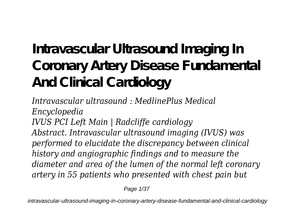# **Intravascular Ultrasound Imaging In Coronary Artery Disease Fundamental And Clinical Cardiology**

*Intravascular ultrasound : MedlinePlus Medical Encyclopedia IVUS PCI Left Main | Radcliffe cardiology Abstract. Intravascular ultrasound imaging (IVUS) was performed to elucidate the discrepancy between clinical history and angiographic findings and to measure the diameter and area of the lumen of the normal left coronary artery in 55 patients who presented with chest pain but*

Page 1/37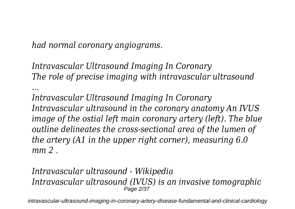*had normal coronary angiograms.*

*Intravascular Ultrasound Imaging In Coronary The role of precise imaging with intravascular ultrasound ...*

*Intravascular Ultrasound Imaging In Coronary Intravascular ultrasound in the coronary anatomy An IVUS image of the ostial left main coronary artery (left). The blue outline delineates the cross-sectional area of the lumen of the artery (A1 in the upper right corner), measuring 6.0 mm 2 .*

### *Intravascular ultrasound - Wikipedia Intravascular ultrasound (IVUS) is an invasive tomographic* Page 2/37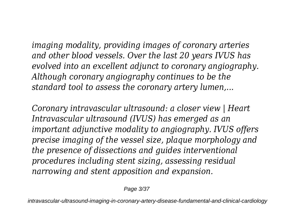*imaging modality, providing images of coronary arteries and other blood vessels. Over the last 20 years IVUS has evolved into an excellent adjunct to coronary angiography. Although coronary angiography continues to be the standard tool to assess the coronary artery lumen,...*

*Coronary intravascular ultrasound: a closer view | Heart Intravascular ultrasound (IVUS) has emerged as an important adjunctive modality to angiography. IVUS offers precise imaging of the vessel size, plaque morphology and the presence of dissections and guides interventional procedures including stent sizing, assessing residual narrowing and stent apposition and expansion.*

Page 3/37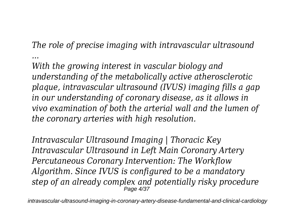*The role of precise imaging with intravascular ultrasound ...*

*With the growing interest in vascular biology and understanding of the metabolically active atherosclerotic plaque, intravascular ultrasound (IVUS) imaging fills a gap in our understanding of coronary disease, as it allows in vivo examination of both the arterial wall and the lumen of the coronary arteries with high resolution.*

*Intravascular Ultrasound Imaging | Thoracic Key Intravascular Ultrasound in Left Main Coronary Artery Percutaneous Coronary Intervention: The Workflow Algorithm. Since IVUS is configured to be a mandatory step of an already complex and potentially risky procedure* Page 4/37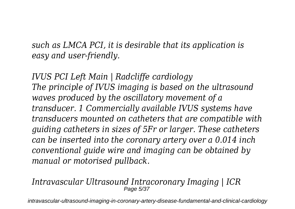*such as LMCA PCI, it is desirable that its application is easy and user-friendly.*

*IVUS PCI Left Main | Radcliffe cardiology The principle of IVUS imaging is based on the ultrasound waves produced by the oscillatory movement of a transducer. 1 Commercially available IVUS systems have transducers mounted on catheters that are compatible with guiding catheters in sizes of 5Fr or larger. These catheters can be inserted into the coronary artery over a 0.014 inch conventional guide wire and imaging can be obtained by manual or motorised pullback.*

#### *Intravascular Ultrasound Intracoronary Imaging | ICR* Page 5/37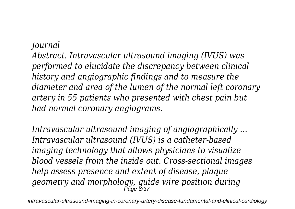### *Journal*

*Abstract. Intravascular ultrasound imaging (IVUS) was performed to elucidate the discrepancy between clinical history and angiographic findings and to measure the diameter and area of the lumen of the normal left coronary artery in 55 patients who presented with chest pain but had normal coronary angiograms.*

*Intravascular ultrasound imaging of angiographically ... Intravascular ultrasound (IVUS) is a catheter-based imaging technology that allows physicians to visualize blood vessels from the inside out. Cross-sectional images help assess presence and extent of disease, plaque geometry and morphology, guide wire position during* Page 6/37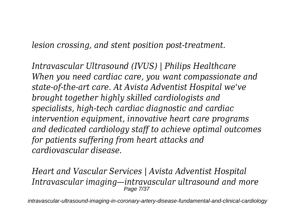*lesion crossing, and stent position post-treatment.*

*Intravascular Ultrasound (IVUS) | Philips Healthcare When you need cardiac care, you want compassionate and state-of-the-art care. At Avista Adventist Hospital we've brought together highly skilled cardiologists and specialists, high-tech cardiac diagnostic and cardiac intervention equipment, innovative heart care programs and dedicated cardiology staff to achieve optimal outcomes for patients suffering from heart attacks and cardiovascular disease.*

*Heart and Vascular Services | Avista Adventist Hospital Intravascular imaging—intravascular ultrasound and more* Page 7/37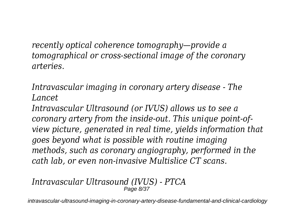*recently optical coherence tomography—provide a tomographical or cross-sectional image of the coronary arteries.*

*Intravascular imaging in coronary artery disease - The Lancet*

*Intravascular Ultrasound (or IVUS) allows us to see a coronary artery from the inside-out. This unique point-ofview picture, generated in real time, yields information that goes beyond what is possible with routine imaging methods, such as coronary angiography, performed in the cath lab, or even non-invasive Multislice CT scans.*

#### *Intravascular Ultrasound (IVUS) - PTCA* Page 8/37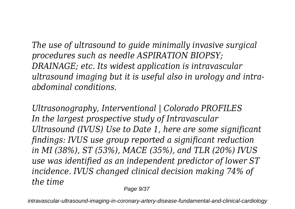*The use of ultrasound to guide minimally invasive surgical procedures such as needle ASPIRATION BIOPSY; DRAINAGE; etc. Its widest application is intravascular ultrasound imaging but it is useful also in urology and intraabdominal conditions.*

*Ultrasonography, Interventional | Colorado PROFILES In the largest prospective study of Intravascular Ultrasound (IVUS) Use to Date 1, here are some significant findings: IVUS use group reported a significant reduction in MI (38%), ST (53%), MACE (35%), and TLR (20%) IVUS use was identified as an independent predictor of lower ST incidence. IVUS changed clinical decision making 74% of the time*

Page  $9/37$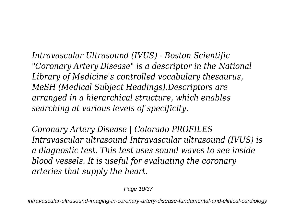*Intravascular Ultrasound (IVUS) - Boston Scientific "Coronary Artery Disease" is a descriptor in the National Library of Medicine's controlled vocabulary thesaurus, MeSH (Medical Subject Headings).Descriptors are arranged in a hierarchical structure, which enables searching at various levels of specificity.*

*Coronary Artery Disease | Colorado PROFILES Intravascular ultrasound Intravascular ultrasound (IVUS) is a diagnostic test. This test uses sound waves to see inside blood vessels. It is useful for evaluating the coronary arteries that supply the heart.*

Page 10/37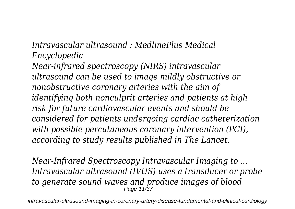*Intravascular ultrasound : MedlinePlus Medical Encyclopedia*

*Near-infrared spectroscopy (NIRS) intravascular ultrasound can be used to image mildly obstructive or nonobstructive coronary arteries with the aim of identifying both nonculprit arteries and patients at high risk for future cardiovascular events and should be considered for patients undergoing cardiac catheterization with possible percutaneous coronary intervention (PCI), according to study results published in The Lancet.*

*Near-Infrared Spectroscopy Intravascular Imaging to ... Intravascular ultrasound (IVUS) uses a transducer or probe to generate sound waves and produce images of blood* Page 11/37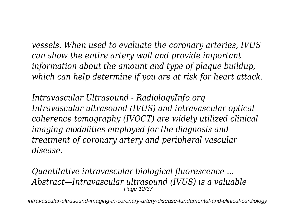*vessels. When used to evaluate the coronary arteries, IVUS can show the entire artery wall and provide important information about the amount and type of plaque buildup, which can help determine if you are at risk for heart attack.*

*Intravascular Ultrasound - RadiologyInfo.org Intravascular ultrasound (IVUS) and intravascular optical coherence tomography (IVOCT) are widely utilized clinical imaging modalities employed for the diagnosis and treatment of coronary artery and peripheral vascular disease.*

*Quantitative intravascular biological fluorescence ... Abstract—Intravascular ultrasound (IVUS) is a valuable* Page 12/37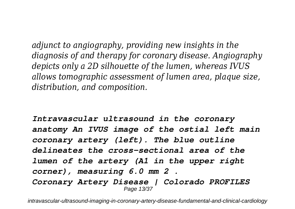*adjunct to angiography, providing new insights in the diagnosis of and therapy for coronary disease. Angiography depicts only a 2D silhouette of the lumen, whereas IVUS allows tomographic assessment of lumen area, plaque size, distribution, and composition.*

*Intravascular ultrasound in the coronary anatomy An IVUS image of the ostial left main coronary artery (left). The blue outline delineates the cross-sectional area of the lumen of the artery (A1 in the upper right corner), measuring 6.0 mm 2 . Coronary Artery Disease | Colorado PROFILES* Page 13/37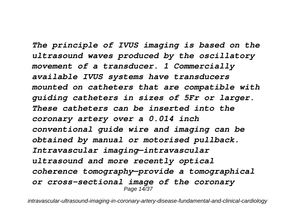*The principle of IVUS imaging is based on the ultrasound waves produced by the oscillatory movement of a transducer. 1 Commercially available IVUS systems have transducers mounted on catheters that are compatible with guiding catheters in sizes of 5Fr or larger. These catheters can be inserted into the coronary artery over a 0.014 inch conventional guide wire and imaging can be obtained by manual or motorised pullback. Intravascular imaging—intravascular ultrasound and more recently optical coherence tomography—provide a tomographical or cross-sectional image of the coronary* Page 14/37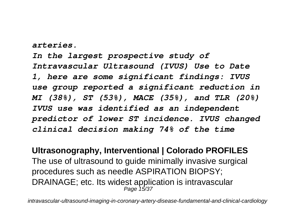*arteries.*

*In the largest prospective study of Intravascular Ultrasound (IVUS) Use to Date 1, here are some significant findings: IVUS use group reported a significant reduction in MI (38%), ST (53%), MACE (35%), and TLR (20%) IVUS use was identified as an independent predictor of lower ST incidence. IVUS changed clinical decision making 74% of the time*

**Ultrasonography, Interventional | Colorado PROFILES** The use of ultrasound to guide minimally invasive surgical procedures such as needle ASPIRATION BIOPSY; DRAINAGE; etc. Its widest application is intravascular Page 15/37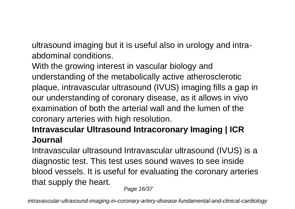ultrasound imaging but it is useful also in urology and intraabdominal conditions.

With the growing interest in vascular biology and understanding of the metabolically active atherosclerotic plaque, intravascular ultrasound (IVUS) imaging fills a gap in our understanding of coronary disease, as it allows in vivo examination of both the arterial wall and the lumen of the coronary arteries with high resolution.

## **Intravascular Ultrasound Intracoronary Imaging | ICR Journal**

Intravascular ultrasound Intravascular ultrasound (IVUS) is a diagnostic test. This test uses sound waves to see inside blood vessels. It is useful for evaluating the coronary arteries that supply the heart.

Page 16/37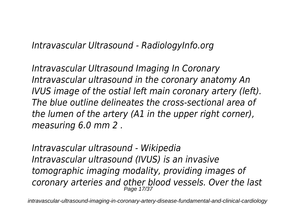*Intravascular Ultrasound - RadiologyInfo.org*

*Intravascular Ultrasound Imaging In Coronary Intravascular ultrasound in the coronary anatomy An IVUS image of the ostial left main coronary artery (left). The blue outline delineates the cross-sectional area of the lumen of the artery (A1 in the upper right corner), measuring 6.0 mm 2 .*

*Intravascular ultrasound - Wikipedia Intravascular ultrasound (IVUS) is an invasive tomographic imaging modality, providing images of coronary arteries and other blood vessels. Over the last* Page 17/37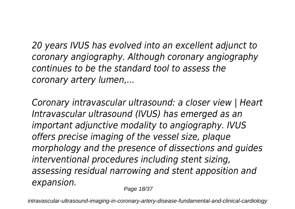*20 years IVUS has evolved into an excellent adjunct to coronary angiography. Although coronary angiography continues to be the standard tool to assess the coronary artery lumen,...*

*Coronary intravascular ultrasound: a closer view | Heart Intravascular ultrasound (IVUS) has emerged as an important adjunctive modality to angiography. IVUS offers precise imaging of the vessel size, plaque morphology and the presence of dissections and guides interventional procedures including stent sizing, assessing residual narrowing and stent apposition and expansion.*

Page 18/37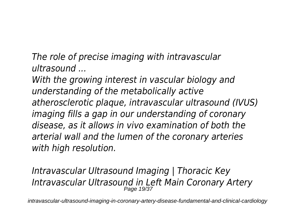*The role of precise imaging with intravascular ultrasound ...*

*With the growing interest in vascular biology and understanding of the metabolically active atherosclerotic plaque, intravascular ultrasound (IVUS) imaging fills a gap in our understanding of coronary disease, as it allows in vivo examination of both the arterial wall and the lumen of the coronary arteries with high resolution.*

*Intravascular Ultrasound Imaging | Thoracic Key Intravascular Ultrasound in Left Main Coronary Artery* Page 19/37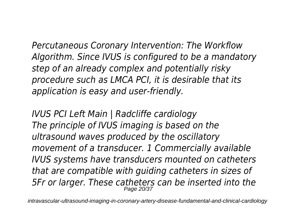*Percutaneous Coronary Intervention: The Workflow Algorithm. Since IVUS is configured to be a mandatory step of an already complex and potentially risky procedure such as LMCA PCI, it is desirable that its application is easy and user-friendly.*

*IVUS PCI Left Main | Radcliffe cardiology The principle of IVUS imaging is based on the ultrasound waves produced by the oscillatory movement of a transducer. 1 Commercially available IVUS systems have transducers mounted on catheters that are compatible with guiding catheters in sizes of 5Fr or larger. These catheters can be inserted into the* Page 20/37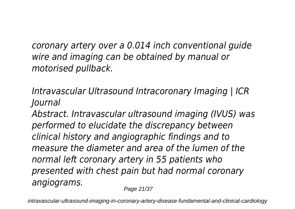*coronary artery over a 0.014 inch conventional guide wire and imaging can be obtained by manual or motorised pullback.*

*Intravascular Ultrasound Intracoronary Imaging | ICR Journal*

*Abstract. Intravascular ultrasound imaging (IVUS) was performed to elucidate the discrepancy between clinical history and angiographic findings and to measure the diameter and area of the lumen of the normal left coronary artery in 55 patients who presented with chest pain but had normal coronary angiograms.*

Page 21/37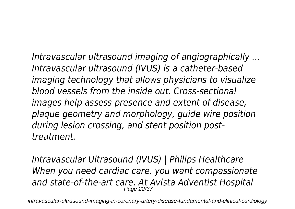*Intravascular ultrasound imaging of angiographically ... Intravascular ultrasound (IVUS) is a catheter-based imaging technology that allows physicians to visualize blood vessels from the inside out. Cross-sectional images help assess presence and extent of disease, plaque geometry and morphology, guide wire position during lesion crossing, and stent position posttreatment.*

*Intravascular Ultrasound (IVUS) | Philips Healthcare When you need cardiac care, you want compassionate and state-of-the-art care. At Avista Adventist Hospital* Page 22/37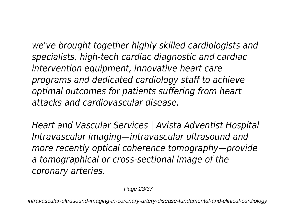*we've brought together highly skilled cardiologists and specialists, high-tech cardiac diagnostic and cardiac intervention equipment, innovative heart care programs and dedicated cardiology staff to achieve optimal outcomes for patients suffering from heart attacks and cardiovascular disease.*

*Heart and Vascular Services | Avista Adventist Hospital Intravascular imaging—intravascular ultrasound and more recently optical coherence tomography—provide a tomographical or cross-sectional image of the coronary arteries.*

Page 23/37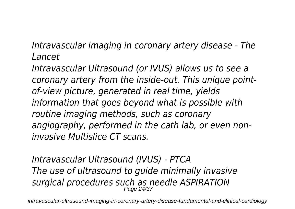*Intravascular imaging in coronary artery disease - The Lancet*

*Intravascular Ultrasound (or IVUS) allows us to see a coronary artery from the inside-out. This unique pointof-view picture, generated in real time, yields information that goes beyond what is possible with routine imaging methods, such as coronary angiography, performed in the cath lab, or even noninvasive Multislice CT scans.*

*Intravascular Ultrasound (IVUS) - PTCA The use of ultrasound to guide minimally invasive surgical procedures such as needle ASPIRATION* Page 24/37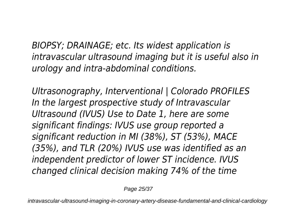*BIOPSY; DRAINAGE; etc. Its widest application is intravascular ultrasound imaging but it is useful also in urology and intra-abdominal conditions.*

*Ultrasonography, Interventional | Colorado PROFILES In the largest prospective study of Intravascular Ultrasound (IVUS) Use to Date 1, here are some significant findings: IVUS use group reported a significant reduction in MI (38%), ST (53%), MACE (35%), and TLR (20%) IVUS use was identified as an independent predictor of lower ST incidence. IVUS changed clinical decision making 74% of the time*

Page 25/37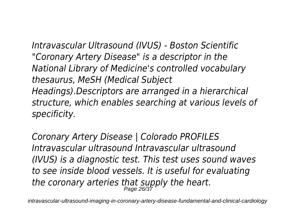*Intravascular Ultrasound (IVUS) - Boston Scientific "Coronary Artery Disease" is a descriptor in the National Library of Medicine's controlled vocabulary thesaurus, MeSH (Medical Subject Headings).Descriptors are arranged in a hierarchical structure, which enables searching at various levels of specificity.*

*Coronary Artery Disease | Colorado PROFILES Intravascular ultrasound Intravascular ultrasound (IVUS) is a diagnostic test. This test uses sound waves to see inside blood vessels. It is useful for evaluating the coronary arteries that supply the heart.* Page 26/37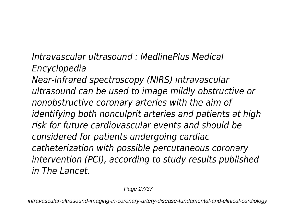*Intravascular ultrasound : MedlinePlus Medical Encyclopedia Near-infrared spectroscopy (NIRS) intravascular ultrasound can be used to image mildly obstructive or nonobstructive coronary arteries with the aim of identifying both nonculprit arteries and patients at high risk for future cardiovascular events and should be considered for patients undergoing cardiac catheterization with possible percutaneous coronary intervention (PCI), according to study results published in The Lancet.*

Page 27/37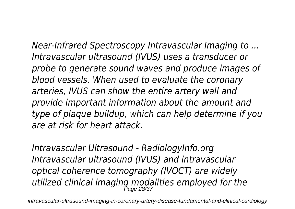*Near-Infrared Spectroscopy Intravascular Imaging to ... Intravascular ultrasound (IVUS) uses a transducer or probe to generate sound waves and produce images of blood vessels. When used to evaluate the coronary arteries, IVUS can show the entire artery wall and provide important information about the amount and type of plaque buildup, which can help determine if you are at risk for heart attack.*

*Intravascular Ultrasound - RadiologyInfo.org Intravascular ultrasound (IVUS) and intravascular optical coherence tomography (IVOCT) are widely utilized clinical imaging modalities employed for the* Page 28/37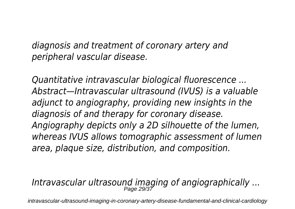*diagnosis and treatment of coronary artery and peripheral vascular disease.*

*Quantitative intravascular biological fluorescence ... Abstract—Intravascular ultrasound (IVUS) is a valuable adjunct to angiography, providing new insights in the diagnosis of and therapy for coronary disease. Angiography depicts only a 2D silhouette of the lumen, whereas IVUS allows tomographic assessment of lumen area, plaque size, distribution, and composition.*

## *Intravascular ultrasound imaging of angiographically ...* Page 29/37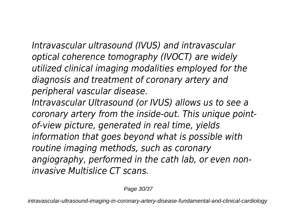*Intravascular ultrasound (IVUS) and intravascular optical coherence tomography (IVOCT) are widely utilized clinical imaging modalities employed for the diagnosis and treatment of coronary artery and peripheral vascular disease.*

*Intravascular Ultrasound (or IVUS) allows us to see a coronary artery from the inside-out. This unique pointof-view picture, generated in real time, yields information that goes beyond what is possible with routine imaging methods, such as coronary angiography, performed in the cath lab, or even noninvasive Multislice CT scans.*

Page 30/37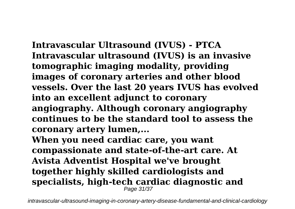**Intravascular Ultrasound (IVUS) - PTCA Intravascular ultrasound (IVUS) is an invasive tomographic imaging modality, providing images of coronary arteries and other blood vessels. Over the last 20 years IVUS has evolved into an excellent adjunct to coronary angiography. Although coronary angiography continues to be the standard tool to assess the coronary artery lumen,...**

**When you need cardiac care, you want compassionate and state-of-the-art care. At Avista Adventist Hospital we've brought together highly skilled cardiologists and specialists, high-tech cardiac diagnostic and** Page 31/37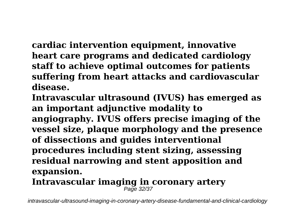**cardiac intervention equipment, innovative heart care programs and dedicated cardiology staff to achieve optimal outcomes for patients suffering from heart attacks and cardiovascular disease.**

**Intravascular ultrasound (IVUS) has emerged as an important adjunctive modality to angiography. IVUS offers precise imaging of the vessel size, plaque morphology and the presence of dissections and guides interventional procedures including stent sizing, assessing residual narrowing and stent apposition and expansion.**

**Intravascular imaging in coronary artery** Page 32/37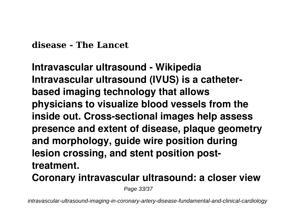**disease - The Lancet**

**Intravascular ultrasound - Wikipedia Intravascular ultrasound (IVUS) is a catheterbased imaging technology that allows physicians to visualize blood vessels from the inside out. Cross-sectional images help assess presence and extent of disease, plaque geometry and morphology, guide wire position during lesion crossing, and stent position posttreatment.**

**Coronary intravascular ultrasound: a closer view**

Page 33/37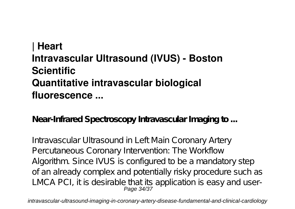## **| Heart Intravascular Ultrasound (IVUS) - Boston Scientific Quantitative intravascular biological fluorescence ...**

**Near-Infrared Spectroscopy Intravascular Imaging to ...**

Intravascular Ultrasound in Left Main Coronary Artery Percutaneous Coronary Intervention: The Workflow Algorithm. Since IVUS is configured to be a mandatory step of an already complex and potentially risky procedure such as LMCA PCI, it is desirable that its application is easy and user-Page 34/37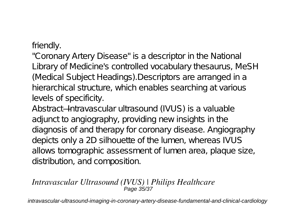friendly.

"Coronary Artery Disease" is a descriptor in the National Library of Medicine's controlled vocabulary thesaurus, MeSH (Medical Subject Headings).Descriptors are arranged in a hierarchical structure, which enables searching at various levels of specificity.

Abstract—Intravascular ultrasound (IVUS) is a valuable adjunct to angiography, providing new insights in the diagnosis of and therapy for coronary disease. Angiography depicts only a 2D silhouette of the lumen, whereas IVUS allows tomographic assessment of lumen area, plaque size, distribution, and composition.

#### *Intravascular Ultrasound (IVUS) | Philips Healthcare* Page 35/37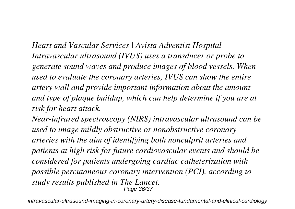*Heart and Vascular Services | Avista Adventist Hospital Intravascular ultrasound (IVUS) uses a transducer or probe to generate sound waves and produce images of blood vessels. When used to evaluate the coronary arteries, IVUS can show the entire artery wall and provide important information about the amount and type of plaque buildup, which can help determine if you are at risk for heart attack.*

*Near-infrared spectroscopy (NIRS) intravascular ultrasound can be used to image mildly obstructive or nonobstructive coronary arteries with the aim of identifying both nonculprit arteries and patients at high risk for future cardiovascular events and should be considered for patients undergoing cardiac catheterization with possible percutaneous coronary intervention (PCI), according to study results published in The Lancet.* Page 36/37